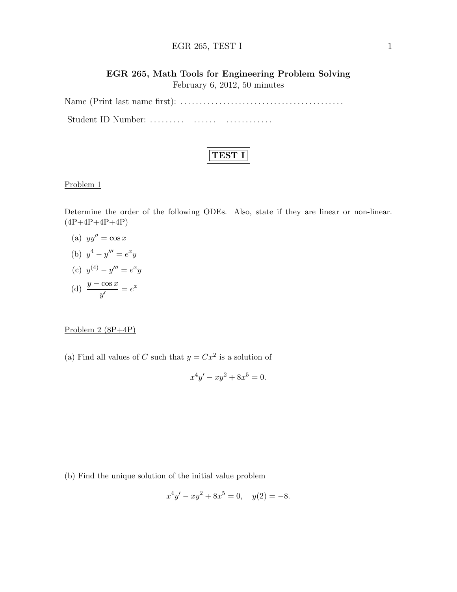### EGR  $265$ , TEST I 1

# EGR 265, Math Tools for Engineering Problem Solving February 6, 2012, 50 minutes

Name (Print last name first): . . . . . . . . . . . . . . . . . . . . . . . . . . . . . . . . . . . . . . . . . . Student ID Number: ......... ....... ...............

## Problem 1

Determine the order of the following ODEs. Also, state if they are linear or non-linear.  $(4P+4P+4P+4P)$ 

- (a)  $yy'' = \cos x$
- (b)  $y^4 y''' = e^x y$
- (c)  $y^{(4)} y''' = e^x y$
- (d)  $\frac{y \cos x}{y'} = e^x$

### Problem 2 (8P+4P)

(a) Find all values of C such that  $y = Cx^2$  is a solution of

$$
x^4y' - xy^2 + 8x^5 = 0.
$$

(b) Find the unique solution of the initial value problem

$$
x^4y' - xy^2 + 8x^5 = 0, \quad y(2) = -8.
$$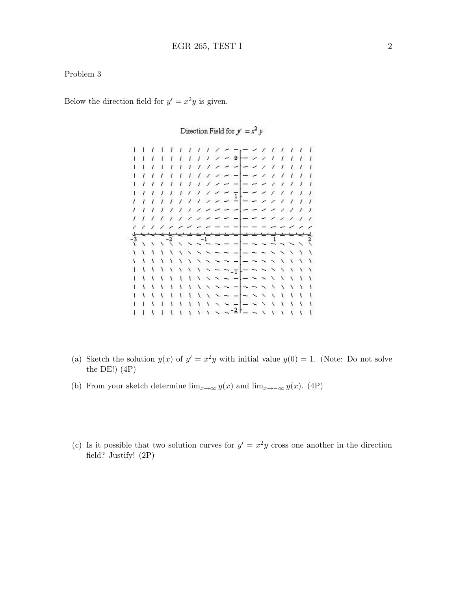Below the direction field for  $y' = x^2y$  is given.

1 1 1 1 1 1 1 1 1 1 <del>1 1 - 1</del> 1 1 1 1 1 1 1  $1 / 7 - 2$  $-21$  $1 - l$  $I - I - I$  $\mathcal{L}$ £.  $I - E - I$  $\sim$   $\rightarrow$  $\lambda$  $-21$  $\mathcal{L}$  $\mathcal{L}$  $11111112222$  $- - 1111$ ユユエエエエエティング 一 ー ー インフェア , , , , , , , , , , , , , , , , , ,  $\frac{1}{2}$  =  $\frac{2}{2}$  /// f.  $11111$  $\overline{\phantom{a}}$  $-22$  $11111$  $\omega_{\alpha} = \omega_{\alpha} - \omega_{\alpha}$  $1111$  $\overline{1}$ ຸ  $\ddot{x}$  $\ddot{\phantom{0}}$  $\sim$   $-$ 42)  $\bar{\textbf{v}}$  $\lambda$  $\chi$  $\ddot{x}$  $\ddotmark$  $\sim$   $\sim$   $\sim$   $\sim$ X ١  $\overline{\phantom{0}}$  $\sim$   $\mid$ Y.  $\mathbf{t}$ X  $\lambda$  $\ddotmark$  $\overline{\phantom{a}}$  $\frac{1}{1}$   $\frac{1}{1}$   $\frac{1}{1}$   $\frac{1}{1}$   $\frac{1}{1}$   $\frac{1}{1}$   $\frac{1}{1}$   $\frac{1}{1}$   $\frac{1}{1}$   $\frac{1}{1}$   $\frac{1}{1}$   $\frac{1}{1}$   $\frac{1}{1}$   $\frac{1}{1}$   $\frac{1}{1}$   $\frac{1}{1}$   $\frac{1}{1}$   $\frac{1}{1}$   $\frac{1}{1}$   $\frac{1}{1}$   $\frac{1}{1}$   $\frac{1}{1}$  N 1 1 1 1 1 1 1 1 1 x x x x x x x x x  $\lambda$   $\lambda$   $\lambda$ 

Direction Field for  $y' = x^2 y$ 

- (a) Sketch the solution  $y(x)$  of  $y' = x^2y$  with initial value  $y(0) = 1$ . (Note: Do not solve the DE! $(4P)$
- (b) From your sketch determine  $\lim_{x\to\infty} y(x)$  and  $\lim_{x\to-\infty} y(x)$ . (4P)
- (c) Is it possible that two solution curves for  $y' = x^2y$  cross one another in the direction field? Justify! (2P)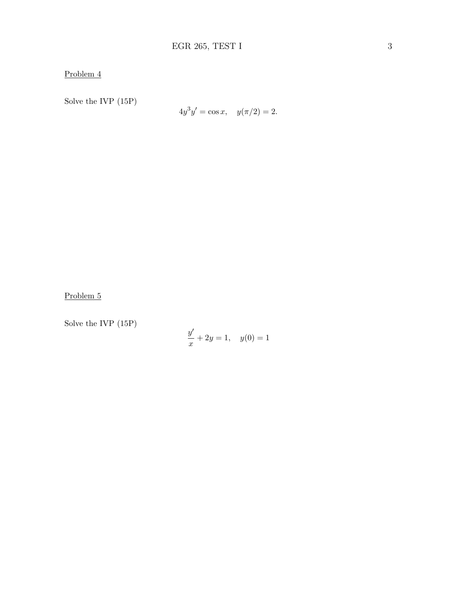Solve the IVP (15P)

$$
4y^3y' = \cos x, \quad y(\pi/2) = 2.
$$

Problem 5

Solve the IVP (15P)

$$
\frac{y'}{x} + 2y = 1, \quad y(0) = 1
$$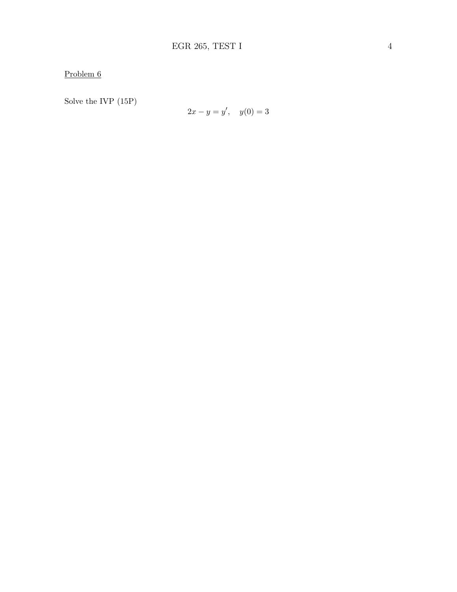Solve the IVP (15P)

$$
2x - y = y', \quad y(0) = 3
$$